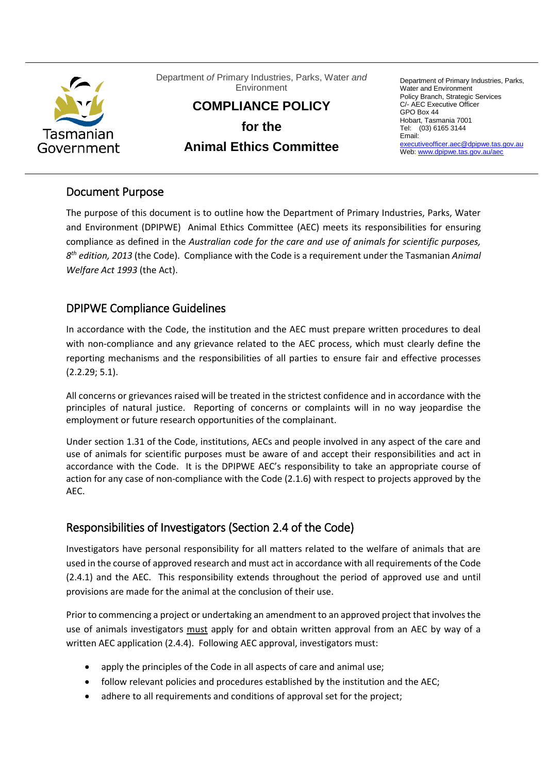

Department *of* Primary Industries, Parks, Water *and* Environment

**COMPLIANCE POLICY** 

**for the** 

# **Animal Ethics Committee**

Department of Primary Industries, Parks, Water and Environment Policy Branch, Strategic Services C/- AEC Executive Officer GPO Box 44 Hobart, Tasmania 7001 Tel: (03) 6165 3144 Email: [executiveofficer.aec@dpipwe.tas.gov.au](mailto:executiveofficer.aec@dpipwe.tas.gov.au) Web[: www.dpipwe.tas.gov.au/aec](http://www.dpipwe.tas.gov.au/aec)

### Document Purpose

The purpose of this document is to outline how the Department of Primary Industries, Parks, Water and Environment (DPIPWE) Animal Ethics Committee (AEC) meets its responsibilities for ensuring compliance as defined in the *Australian code for the care and use of animals for scientific purposes, 8 th edition, 2013* (the Code). Compliance with the Code is a requirement under the Tasmanian *Animal Welfare Act 1993* (the Act).

## DPIPWE Compliance Guidelines

In accordance with the Code, the institution and the AEC must prepare written procedures to deal with non-compliance and any grievance related to the AEC process, which must clearly define the reporting mechanisms and the responsibilities of all parties to ensure fair and effective processes (2.2.29; 5.1).

All concerns or grievances raised will be treated in the strictest confidence and in accordance with the principles of natural justice. Reporting of concerns or complaints will in no way jeopardise the employment or future research opportunities of the complainant.

Under section 1.31 of the Code, institutions, AECs and people involved in any aspect of the care and use of animals for scientific purposes must be aware of and accept their responsibilities and act in accordance with the Code. It is the DPIPWE AEC's responsibility to take an appropriate course of action for any case of non-compliance with the Code (2.1.6) with respect to projects approved by the AEC.

# Responsibilities of Investigators (Section 2.4 of the Code)

Investigators have personal responsibility for all matters related to the welfare of animals that are used in the course of approved research and must act in accordance with all requirements of the Code (2.4.1) and the AEC. This responsibility extends throughout the period of approved use and until provisions are made for the animal at the conclusion of their use.

Prior to commencing a project or undertaking an amendment to an approved project that involves the use of animals investigators must apply for and obtain written approval from an AEC by way of a written AEC application (2.4.4). Following AEC approval, investigators must:

- apply the principles of the Code in all aspects of care and animal use;
- follow relevant policies and procedures established by the institution and the AEC;
- adhere to all requirements and conditions of approval set for the project;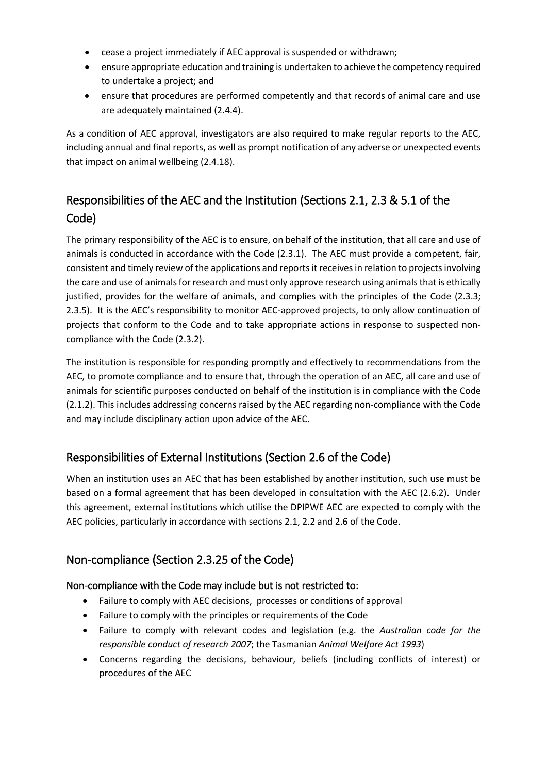- cease a project immediately if AEC approval is suspended or withdrawn;
- ensure appropriate education and training is undertaken to achieve the competency required to undertake a project; and
- ensure that procedures are performed competently and that records of animal care and use are adequately maintained (2.4.4).

As a condition of AEC approval, investigators are also required to make regular reports to the AEC, including annual and final reports, as well as prompt notification of any adverse or unexpected events that impact on animal wellbeing (2.4.18).

# Responsibilities of the AEC and the Institution (Sections 2.1, 2.3 & 5.1 of the Code)

The primary responsibility of the AEC is to ensure, on behalf of the institution, that all care and use of animals is conducted in accordance with the Code (2.3.1). The AEC must provide a competent, fair, consistent and timely review of the applications and reports it receives in relation to projects involving the care and use of animals for research and must only approve research using animals that is ethically justified, provides for the welfare of animals, and complies with the principles of the Code (2.3.3; 2.3.5). It is the AEC's responsibility to monitor AEC-approved projects, to only allow continuation of projects that conform to the Code and to take appropriate actions in response to suspected noncompliance with the Code (2.3.2).

The institution is responsible for responding promptly and effectively to recommendations from the AEC, to promote compliance and to ensure that, through the operation of an AEC, all care and use of animals for scientific purposes conducted on behalf of the institution is in compliance with the Code (2.1.2). This includes addressing concerns raised by the AEC regarding non-compliance with the Code and may include disciplinary action upon advice of the AEC.

# Responsibilities of External Institutions (Section 2.6 of the Code)

When an institution uses an AEC that has been established by another institution, such use must be based on a formal agreement that has been developed in consultation with the AEC (2.6.2). Under this agreement, external institutions which utilise the DPIPWE AEC are expected to comply with the AEC policies, particularly in accordance with sections 2.1, 2.2 and 2.6 of the Code.

# Non-compliance (Section 2.3.25 of the Code)

#### Non-compliance with the Code may include but is not restricted to:

- Failure to comply with AEC decisions, processes or conditions of approval
- Failure to comply with the principles or requirements of the Code
- Failure to comply with relevant codes and legislation (e.g. the *Australian code for the responsible conduct of research 2007*; the Tasmanian *Animal Welfare Act 1993*)
- Concerns regarding the decisions, behaviour, beliefs (including conflicts of interest) or procedures of the AEC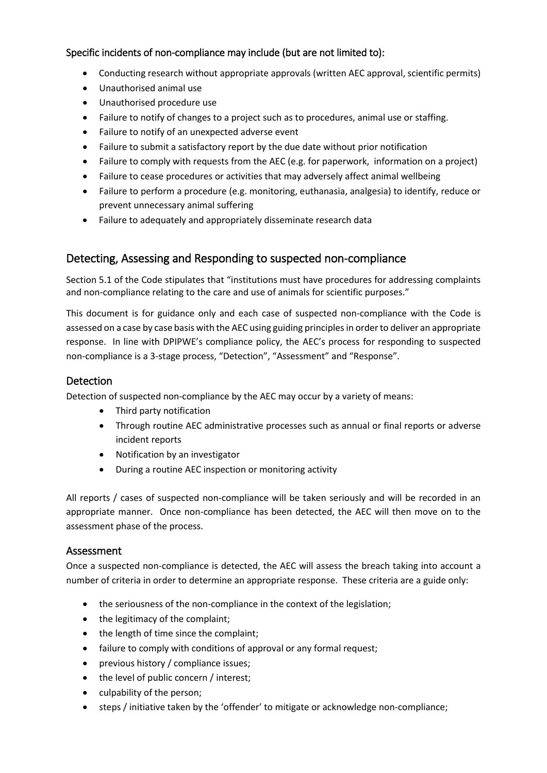### Specific incidents of non-compliance may include (but are not limited to):

- Conducting research without appropriate approvals (written AEC approval, scientific permits)
- Unauthorised animal use
- Unauthorised procedure use
- Failure to notify of changes to a project such as to procedures, animal use or staffing.
- Failure to notify of an unexpected adverse event
- Failure to submit a satisfactory report by the due date without prior notification
- Failure to comply with requests from the AEC (e.g. for paperwork, information on a project)
- Failure to cease procedures or activities that may adversely affect animal wellbeing
- Failure to perform a procedure (e.g. monitoring, euthanasia, analgesia) to identify, reduce or prevent unnecessary animal suffering
- Failure to adequately and appropriately disseminate research data

### Detecting, Assessing and Responding to suspected non-compliance

Section 5.1 of the Code stipulates that "institutions must have procedures for addressing complaints and non-compliance relating to the care and use of animals for scientific purposes."

This document is for guidance only and each case of suspected non-compliance with the Code is assessed on a case by case basis with the AEC using guiding principles in order to deliver an appropriate response. In line with DPIPWE's compliance policy, the AEC's process for responding to suspected non-compliance is a 3-stage process, "Detection", "Assessment" and "Response".

### **Detection**

Detection of suspected non-compliance by the AEC may occur by a variety of means:

- Third party notification
- Through routine AEC administrative processes such as annual or final reports or adverse incident reports
- Notification by an investigator
- During a routine AEC inspection or monitoring activity

All reports / cases of suspected non-compliance will be taken seriously and will be recorded in an appropriate manner. Once non-compliance has been detected, the AEC will then move on to the assessment phase of the process.

#### Assessment

Once a suspected non-compliance is detected, the AEC will assess the breach taking into account a number of criteria in order to determine an appropriate response. These criteria are a guide only:

- the seriousness of the non-compliance in the context of the legislation;
- the legitimacy of the complaint;
- the length of time since the complaint;
- failure to comply with conditions of approval or any formal request;
- previous history / compliance issues;
- the level of public concern / interest;
- culpability of the person;
- steps / initiative taken by the 'offender' to mitigate or acknowledge non-compliance;